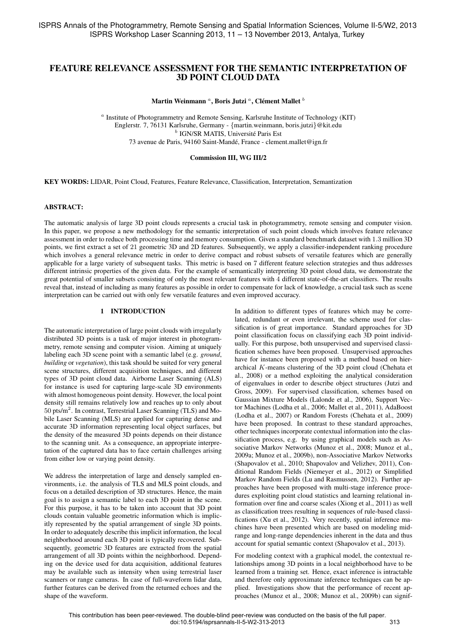# FEATURE RELEVANCE ASSESSMENT FOR THE SEMANTIC INTERPRETATION OF 3D POINT CLOUD DATA

Martin Weinmann  ${}^a,$  Boris Jutzi  ${}^a,$  Clément Mallet  ${}^b$ 

<sup>a</sup> Institute of Photogrammetry and Remote Sensing, Karlsruhe Institute of Technology (KIT) Englerstr. 7, 76131 Karlsruhe, Germany - {martin.weinmann, boris.jutzi}@kit.edu <sup>b</sup> IGN/SR MATIS, Université Paris Est 73 avenue de Paris, 94160 Saint-Mande, France - clement.mallet@ign.fr ´

### Commission III, WG III/2

KEY WORDS: LIDAR, Point Cloud, Features, Feature Relevance, Classification, Interpretation, Semantization

#### ABSTRACT:

The automatic analysis of large 3D point clouds represents a crucial task in photogrammetry, remote sensing and computer vision. In this paper, we propose a new methodology for the semantic interpretation of such point clouds which involves feature relevance assessment in order to reduce both processing time and memory consumption. Given a standard benchmark dataset with 1.3 million 3D points, we first extract a set of 21 geometric 3D and 2D features. Subsequently, we apply a classifier-independent ranking procedure which involves a general relevance metric in order to derive compact and robust subsets of versatile features which are generally applicable for a large variety of subsequent tasks. This metric is based on 7 different feature selection strategies and thus addresses different intrinsic properties of the given data. For the example of semantically interpreting 3D point cloud data, we demonstrate the great potential of smaller subsets consisting of only the most relevant features with 4 different state-of-the-art classifiers. The results reveal that, instead of including as many features as possible in order to compensate for lack of knowledge, a crucial task such as scene interpretation can be carried out with only few versatile features and even improved accuracy.

# 1 INTRODUCTION

The automatic interpretation of large point clouds with irregularly distributed 3D points is a task of major interest in photogrammetry, remote sensing and computer vision. Aiming at uniquely labeling each 3D scene point with a semantic label (e.g. *ground*, *building* or *vegetation*), this task should be suited for very general scene structures, different acquisition techniques, and different types of 3D point cloud data. Airborne Laser Scanning (ALS) for instance is used for capturing large-scale 3D environments with almost homogeneous point density. However, the local point density still remains relatively low and reaches up to only about 50 pts/m<sup>2</sup>. In contrast, Terrestrial Laser Scanning (TLS) and Mobile Laser Scanning (MLS) are applied for capturing dense and accurate 3D information representing local object surfaces, but the density of the measured 3D points depends on their distance to the scanning unit. As a consequence, an appropriate interpretation of the captured data has to face certain challenges arising from either low or varying point density.

We address the interpretation of large and densely sampled environments, i.e. the analysis of TLS and MLS point clouds, and focus on a detailed description of 3D structures. Hence, the main goal is to assign a semantic label to each 3D point in the scene. For this purpose, it has to be taken into account that 3D point clouds contain valuable geometric information which is implicitly represented by the spatial arrangement of single 3D points. In order to adequately describe this implicit information, the local neighborhood around each 3D point is typically recovered. Subsequently, geometric 3D features are extracted from the spatial arrangement of all 3D points within the neighborhood. Depending on the device used for data acquisition, additional features may be available such as intensity when using terrestrial laser scanners or range cameras. In case of full-waveform lidar data, further features can be derived from the returned echoes and the shape of the waveform.

In addition to different types of features which may be correlated, redundant or even irrelevant, the scheme used for classification is of great importance. Standard approaches for 3D point classification focus on classifying each 3D point individually. For this purpose, both unsupervised and supervised classification schemes have been proposed. Unsupervised approaches have for instance been proposed with a method based on hierarchical K-means clustering of the 3D point cloud (Chehata et al., 2008) or a method exploiting the analytical consideration of eigenvalues in order to describe object structures (Jutzi and Gross, 2009). For supervised classification, schemes based on Gaussian Mixture Models (Lalonde et al., 2006), Support Vector Machines (Lodha et al., 2006; Mallet et al., 2011), AdaBoost (Lodha et al., 2007) or Random Forests (Chehata et al., 2009) have been proposed. In contrast to these standard approaches, other techniques incorporate contextual information into the classification process, e.g. by using graphical models such as Associative Markov Networks (Munoz et al., 2008; Munoz et al., 2009a; Munoz et al., 2009b), non-Associative Markov Networks (Shapovalov et al., 2010; Shapovalov and Velizhev, 2011), Conditional Random Fields (Niemeyer et al., 2012) or Simplified Markov Random Fields (Lu and Rasmussen, 2012). Further approaches have been proposed with multi-stage inference procedures exploiting point cloud statistics and learning relational information over fine and coarse scales (Xiong et al., 2011) as well as classification trees resulting in sequences of rule-based classifications (Xu et al., 2012). Very recently, spatial inference machines have been presented which are based on modeling midrange and long-range dependencies inherent in the data and thus account for spatial semantic context (Shapovalov et al., 2013).

For modeling context with a graphical model, the contextual relationships among 3D points in a local neighborhood have to be learned from a training set. Hence, exact inference is intractable and therefore only approximate inference techniques can be applied. Investigations show that the performance of recent approaches (Munoz et al., 2008; Munoz et al., 2009b) can signif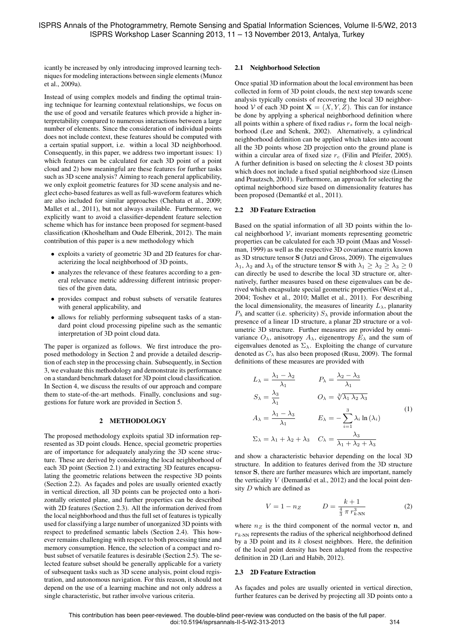icantly be increased by only introducing improved learning techniques for modeling interactions between single elements (Munoz et al., 2009a).

Instead of using complex models and finding the optimal training technique for learning contextual relationships, we focus on the use of good and versatile features which provide a higher interpretability compared to numerous interactions between a large number of elements. Since the consideration of individual points does not include context, these features should be computed with a certain spatial support, i.e. within a local 3D neighborhood. Consequently, in this paper, we address two important issues: 1) which features can be calculated for each 3D point of a point cloud and 2) how meaningful are these features for further tasks such as 3D scene analysis? Aiming to reach general applicability, we only exploit geometric features for 3D scene analysis and neglect echo-based features as well as full-waveform features which are also included for similar approaches (Chehata et al., 2009; Mallet et al., 2011), but not always available. Furthermore, we explicitly want to avoid a classifier-dependent feature selection scheme which has for instance been proposed for segment-based classification (Khoshelham and Oude Elberink, 2012). The main contribution of this paper is a new methodology which

- exploits a variety of geometric 3D and 2D features for characterizing the local neighborhood of 3D points,
- analyzes the relevance of these features according to a general relevance metric addressing different intrinsic properties of the given data,
- provides compact and robust subsets of versatile features with general applicability, and
- allows for reliably performing subsequent tasks of a standard point cloud processing pipeline such as the semantic interpretation of 3D point cloud data.

The paper is organized as follows. We first introduce the proposed methodology in Section 2 and provide a detailed description of each step in the processing chain. Subsequently, in Section 3, we evaluate this methodology and demonstrate its performance on a standard benchmark dataset for 3D point cloud classification. In Section 4, we discuss the results of our approach and compare them to state-of-the-art methods. Finally, conclusions and suggestions for future work are provided in Section 5.

### 2 METHODOLOGY

The proposed methodology exploits spatial 3D information represented as 3D point clouds. Hence, special geometric properties are of importance for adequately analyzing the 3D scene structure. These are derived by considering the local neighborhood of each 3D point (Section 2.1) and extracting 3D features encapsulating the geometric relations between the respective 3D points (Section 2.2). As façades and poles are usually oriented exactly in vertical direction, all 3D points can be projected onto a horizontally oriented plane, and further properties can be described with 2D features (Section 2.3). All the information derived from the local neighborhood and thus the full set of features is typically used for classifying a large number of unorganized 3D points with respect to predefined semantic labels (Section 2.4). This however remains challenging with respect to both processing time and memory consumption. Hence, the selection of a compact and robust subset of versatile features is desirable (Section 2.5). The selected feature subset should be generally applicable for a variety of subsequent tasks such as 3D scene analysis, point cloud registration, and autonomous navigation. For this reason, it should not depend on the use of a learning machine and not only address a single characteristic, but rather involve various criteria.

## 2.1 Neighborhood Selection

Once spatial 3D information about the local environment has been collected in form of 3D point clouds, the next step towards scene analysis typically consists of recovering the local 3D neighborhood V of each 3D point  $X = (X, Y, Z)$ . This can for instance be done by applying a spherical neighborhood definition where all points within a sphere of fixed radius  $r<sub>s</sub>$  form the local neighborhood (Lee and Schenk, 2002). Alternatively, a cylindrical neighborhood definition can be applied which takes into account all the 3D points whose 2D projection onto the ground plane is within a circular area of fixed size  $r_c$  (Filin and Pfeifer, 2005). A further definition is based on selecting the  $k$  closest 3D points which does not include a fixed spatial neighborhood size (Linsen and Prautzsch, 2001). Furthermore, an approach for selecting the optimal neighborhood size based on dimensionality features has been proposed (Demantké et al., 2011).

### 2.2 3D Feature Extraction

Based on the spatial information of all 3D points within the local neighborhood  $V$ , invariant moments representing geometric properties can be calculated for each 3D point (Maas and Vosselman, 1999) as well as the respective 3D covariance matrix known as 3D structure tensor S (Jutzi and Gross, 2009). The eigenvalues  $\lambda_1, \lambda_2$  and  $\lambda_3$  of the structure tensor **S** with  $\lambda_1 \geq \lambda_2 \geq \lambda_3 \geq 0$ can directly be used to describe the local 3D structure or, alternatively, further measures based on these eigenvalues can be derived which encapsulate special geometric properties (West et al., 2004; Toshev et al., 2010; Mallet et al., 2011). For describing the local dimensionality, the measures of linearity  $L_{\lambda}$ , planarity  $P_{\lambda}$  and scatter (i.e. sphericity)  $S_{\lambda}$  provide information about the presence of a linear 1D structure, a planar 2D structure or a volumetric 3D structure. Further measures are provided by omnivariance  $O_{\lambda}$ , anisotropy  $A_{\lambda}$ , eigenentropy  $E_{\lambda}$  and the sum of eigenvalues denoted as  $\Sigma_{\lambda}$ . Exploiting the change of curvature denoted as  $C_{\lambda}$  has also been proposed (Rusu, 2009). The formal definitions of these measures are provided with

$$
L_{\lambda} = \frac{\lambda_1 - \lambda_2}{\lambda_1} \qquad P_{\lambda} = \frac{\lambda_2 - \lambda_3}{\lambda_1}
$$
  
\n
$$
S_{\lambda} = \frac{\lambda_3}{\lambda_1} \qquad O_{\lambda} = \sqrt[3]{\lambda_1 \lambda_2 \lambda_3}
$$
  
\n
$$
A_{\lambda} = \frac{\lambda_1 - \lambda_3}{\lambda_1} \qquad E_{\lambda} = -\sum_{i=1}^{3} \lambda_i \ln(\lambda_i)
$$
  
\n
$$
\Sigma_{\lambda} = \lambda_1 + \lambda_2 + \lambda_3 \qquad C_{\lambda} = \frac{\lambda_3}{\lambda_1 + \lambda_2 + \lambda_3}
$$
  
\n(1)

and show a characteristic behavior depending on the local 3D structure. In addition to features derived from the 3D structure tensor S, there are further measures which are important, namely the verticality  $V$  (Demantké et al., 2012) and the local point density  $D$  which are defined as

$$
V = 1 - n_Z \qquad D = \frac{k+1}{\frac{4}{3} \pi r_{k\text{-NN}}^3} \tag{2}
$$

where  $n_Z$  is the third component of the normal vector n, and  $r_{k-NN}$  represents the radius of the spherical neighborhood defined by a 3D point and its  $k$  closest neighbors. Here, the definition of the local point density has been adapted from the respective definition in 2D (Lari and Habib, 2012).

### 2.3 2D Feature Extraction

As façades and poles are usually oriented in vertical direction, further features can be derived by projecting all 3D points onto a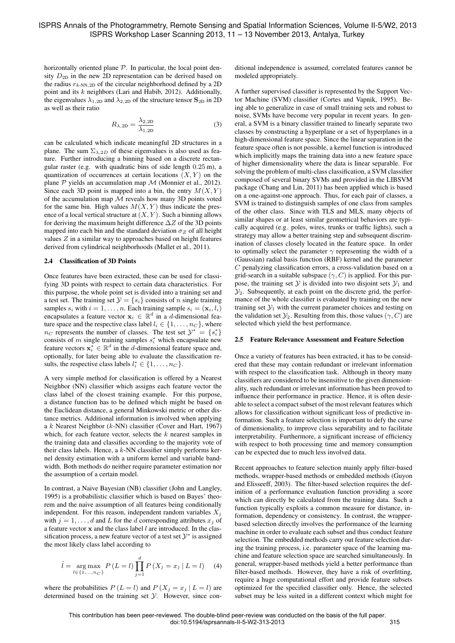horizontally oriented plane  $P$ . In particular, the local point density  $D_{2D}$  in the new 2D representation can be derived based on the radius  $r_{k\text{-NN,2D}}$  of the circular neighborhood defined by a 2D point and its k neighbors (Lari and Habib, 2012). Additionally, the eigenvalues  $\lambda_{1,2D}$  and  $\lambda_{2,2D}$  of the structure tensor  $S_{2D}$  in 2D as well as their ratio

$$
R_{\lambda,2D} = \frac{\lambda_{2,2D}}{\lambda_{1,2D}}\tag{3}
$$

can be calculated which indicate meaningful 2D structures in a plane. The sum  $\Sigma_{\lambda,2D}$  of these eigenvalues is also used as feature. Further introducing a binning based on a discrete rectangular raster (e.g. with quadratic bins of side length 0.25 m), a quantization of occurrences at certain locations  $(X, Y)$  on the plane  $P$  yields an accumulation map  $M$  (Monnier et al., 2012). Since each 3D point is mapped into a bin, the entry  $M(X, Y)$ of the accumulation map  $M$  reveals how many 3D points voted for the same bin. High values  $M(X, Y)$  thus indicate the presence of a local vertical structure at  $(X, Y)$ . Such a binning allows for deriving the maximum height difference  $\Delta Z$  of the 3D points mapped into each bin and the standard deviation  $\sigma_Z$  of all height values  $Z$  in a similar way to approaches based on height features derived from cylindrical neighborhoods (Mallet et al., 2011).

### 2.4 Classification of 3D Points

Once features have been extracted, these can be used for classifying 3D points with respect to certain data characteristics. For this purpose, the whole point set is divided into a training set and a test set. The training set  $\mathcal{Y} = \{s_i\}$  consists of n single training samples  $s_i$  with  $i = 1, \ldots, n$ . Each training sample  $s_i = (\mathbf{x}_i, l_i)$ encapsulates a feature vector  $\mathbf{x}_i \in \mathbb{R}^d$  in a *d*-dimensional feature space and the respective class label  $l_i \in \{1, \ldots, n_C\}$ , where  $n_C$  represents the number of classes. The test set  $\mathcal{Y}^* = \{s_i^*\}$ consists of m single training samples  $s_i^*$  which encapsulate new feature vectors  $\mathbf{x}_i^* \in \mathbb{R}^d$  in the *d*-dimensional feature space and, optionally, for later being able to evaluate the classification results, the respective class labels  $l_i^* \in \{1, \ldots, n_C\}$ .

A very simple method for classification is offered by a Nearest Neighbor (NN) classifier which assigns each feature vector the class label of the closest training example. For this purpose, a distance function has to be defined which might be based on the Euclidean distance, a general Minkowski metric or other distance metrics. Additional information is involved when applying a  $k$  Nearest Neighbor ( $k$ -NN) classifier (Cover and Hart, 1967) which, for each feature vector, selects the  $k$  nearest samples in the training data and classifies according to the majority vote of their class labels. Hence, a  $k$ -NN classifier simply performs kernel density estimation with a uniform kernel and variable bandwidth. Both methods do neither require parameter estimation nor the assumption of a certain model.

In contrast, a Naive Bayesian (NB) classifier (John and Langley, 1995) is a probabilistic classifier which is based on Bayes' theorem and the naive assumption of all features being conditionally independent. For this reason, independent random variables  $X_j$ with  $j = 1, \ldots, d$  and L for the d corresponding attributes  $x_j$  of a feature vector  $x$  and the class label  $l$  are introduced. In the classification process, a new feature vector of a test set  $\mathcal{Y}^*$  is assigned the most likely class label according to

$$
\hat{l} = \underset{l \in \{1, \dots, n_C\}}{\arg \max} \ P\left(L = l\right) \prod_{j=1}^d P\left(X_j = x_j \mid L = l\right) \tag{4}
$$

where the probabilities  $P(L = l)$  and  $P(X_j = x_j | L = l)$  are determined based on the training set Y. However, since con-

ditional independence is assumed, correlated features cannot be modeled appropriately.

A further supervised classifier is represented by the Support Vector Machine (SVM) classifier (Cortes and Vapnik, 1995). Being able to generalize in case of small training sets and robust to noise, SVMs have become very popular in recent years. In general, a SVM is a binary classifier trained to linearly separate two classes by constructing a hyperplane or a set of hyperplanes in a high-dimensional feature space. Since the linear separation in the feature space often is not possible, a kernel function is introduced which implicitly maps the training data into a new feature space of higher dimensionality where the data is linear separable. For solving the problem of multi-class classification, a SVM classifier composed of several binary SVMs and provided in the LIBSVM package (Chang and Lin, 2011) has been applied which is based on a one-against-one approach. Thus, for each pair of classes, a SVM is trained to distinguish samples of one class from samples of the other class. Since with TLS and MLS, many objects of similar shapes or at least similar geometrical behaviors are typically acquired (e.g. poles, wires, trunks or traffic lights), such a strategy may allow a better training step and subsequent discrimination of classes closely located in the feature space. In order to optimally select the parameter  $\gamma$  representing the width of a (Gaussian) radial basis function (RBF) kernel and the parameter C penalyzing classification errors, a cross-validation based on a grid-search in a suitable subspace  $(\gamma, C)$  is applied. For this purpose, the training set  $\mathcal Y$  is divided into two disjoint sets  $\mathcal Y_1$  and  $\mathcal{Y}_2$ . Subsequently, at each point on the discrete grid, the performance of the whole classifier is evaluated by training on the new training set  $\mathcal{Y}_1$  with the current parameter choices and testing on the validation set  $\mathcal{Y}_2$ . Resulting from this, those values  $(\gamma, C)$  are selected which yield the best performance.

#### 2.5 Feature Relevance Assessment and Feature Selection

Once a variety of features has been extracted, it has to be considered that these may contain redundant or irrelevant information with respect to the classification task. Although in theory many classifiers are considered to be insensitive to the given dimensionality, such redundant or irrelevant information has been proved to influence their performance in practice. Hence, it is often desirable to select a compact subset of the most relevant features which allows for classification without significant loss of predictive information. Such a feature selection is important to defy the curse of dimensionality, to improve class separability and to facilitate interpretability. Furthermore, a significant increase of efficiency with respect to both processing time and memory consumption can be expected due to much less involved data.

Recent approaches to feature selection mainly apply filter-based methods, wrapper-based methods or embedded methods (Guyon and Elisseeff, 2003). The filter-based selection requires the definition of a performance evaluation function providing a score which can directly be calculated from the training data. Such a function typically exploits a common measure for distance, information, dependency or consistency. In contrast, the wrapperbased selection directly involves the performance of the learning machine in order to evaluate each subset and thus conduct feature selection. The embedded methods carry out feature selection during the training process, i.e. parameter space of the learning machine and feature selection space are searched simultaneously. In general, wrapper-based methods yield a better performance than filter-based methods. However, they have a risk of overfitting, require a huge computational effort and provide feature subsets optimized for the specified classifier only. Hence, the selected subset may be less suited in a different context which might for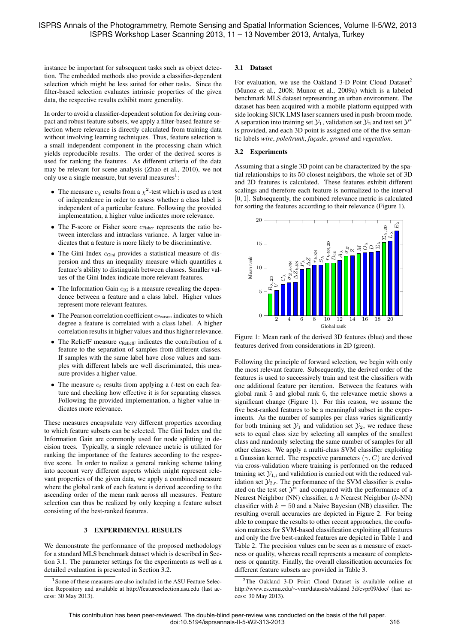instance be important for subsequent tasks such as object detection. The embedded methods also provide a classifier-dependent selection which might be less suited for other tasks. Since the filter-based selection evaluates intrinsic properties of the given data, the respective results exhibit more generality.

In order to avoid a classifier-dependent solution for deriving compact and robust feature subsets, we apply a filter-based feature selection where relevance is directly calculated from training data without involving learning techniques. Thus, feature selection is a small independent component in the processing chain which yields reproducible results. The order of the derived scores is used for ranking the features. As different criteria of the data may be relevant for scene analysis (Zhao et al., 2010), we not only use a single measure, but several measures $<sup>1</sup>$ :</sup>

- The measure  $c_{\chi}$  results from a  $\chi^2$ -test which is used as a test of independence in order to assess whether a class label is independent of a particular feature. Following the provided implementation, a higher value indicates more relevance.
- The F-score or Fisher score  $c_{Fisher}$  represents the ratio between interclass and intraclass variance. A larger value indicates that a feature is more likely to be discriminative.
- The Gini Index cGini provides a statistical measure of dispersion and thus an inequality measure which quantifies a feature's ability to distinguish between classes. Smaller values of the Gini Index indicate more relevant features.
- The Information Gain  $c_{IG}$  is a measure revealing the dependence between a feature and a class label. Higher values represent more relevant features.
- $\bullet$  The Pearson correlation coefficient  $c_{\text{Pearson}}$  indicates to which degree a feature is correlated with a class label. A higher correlation results in higher values and thus higher relevance.
- The ReliefF measure  $c_{\text{ReliefF}}$  indicates the contribution of a feature to the separation of samples from different classes. If samples with the same label have close values and samples with different labels are well discriminated, this measure provides a higher value.
- The measure  $c_t$  results from applying a t-test on each feature and checking how effective it is for separating classes. Following the provided implementation, a higher value indicates more relevance.

These measures encapsulate very different properties according to which feature subsets can be selected. The Gini Index and the Information Gain are commonly used for node splitting in decision trees. Typically, a single relevance metric is utilized for ranking the importance of the features according to the respective score. In order to realize a general ranking scheme taking into account very different aspects which might represent relevant properties of the given data, we apply a combined measure where the global rank of each feature is derived according to the ascending order of the mean rank across all measures. Feature selection can thus be realized by only keeping a feature subset consisting of the best-ranked features.

# 3 EXPERIMENTAL RESULTS

We demonstrate the performance of the proposed methodology for a standard MLS benchmark dataset which is described in Section 3.1. The parameter settings for the experiments as well as a detailed evaluation is presented in Section 3.2.

## 3.1 Dataset

For evaluation, we use the Oakland 3-D Point Cloud Dataset<sup>2</sup> (Munoz et al., 2008; Munoz et al., 2009a) which is a labeled benchmark MLS dataset representing an urban environment. The dataset has been acquired with a mobile platform equipped with side looking SICK LMS laser scanners used in push-broom mode. A separation into training set  $\mathcal{Y}_1$ , validation set  $\mathcal{Y}_2$  and test set  $\mathcal{Y}^*$ is provided, and each 3D point is assigned one of the five semantic labels *wire*, *pole/trunk*, *fac¸ade*, *ground* and *vegetation*.

# 3.2 Experiments

Assuming that a single 3D point can be characterized by the spatial relationships to its 50 closest neighbors, the whole set of 3D and 2D features is calculated. These features exhibit different scalings and therefore each feature is normalized to the interval [0, 1]. Subsequently, the combined relevance metric is calculated for sorting the features according to their relevance (Figure 1).



Figure 1: Mean rank of the derived 3D features (blue) and those features derived from considerations in 2D (green).

Following the principle of forward selection, we begin with only the most relevant feature. Subsequently, the derived order of the features is used to successively train and test the classifiers with one additional feature per iteration. Between the features with global rank 5 and global rank 6, the relevance metric shows a significant change (Figure 1). For this reason, we assume the five best-ranked features to be a meaningful subset in the experiments. As the number of samples per class varies significantly for both training set  $\mathcal{Y}_1$  and validation set  $\mathcal{Y}_2$ , we reduce these sets to equal class size by selecting all samples of the smallest class and randomly selecting the same number of samples for all other classes. We apply a multi-class SVM classifier exploiting a Gaussian kernel. The respective parameters  $(\gamma, C)$  are derived via cross-validation where training is performed on the reduced training set  $\mathcal{Y}_{1,r}$  and validation is carried out with the reduced validation set  $\mathcal{Y}_{2,r}$ . The performance of the SVM classifier is evaluated on the test set  $\mathcal{Y}^*$  and compared with the performance of a Nearest Neighbor (NN) classifier, a  $k$  Nearest Neighbor ( $k$ -NN) classifier with  $k = 50$  and a Naive Bayesian (NB) classifier. The resulting overall accuracies are depicted in Figure 2. For being able to compare the results to other recent approaches, the confusion matrices for SVM-based classification exploiting all features and only the five best-ranked features are depicted in Table 1 and Table 2. The precision values can be seen as a measure of exactness or quality, whereas recall represents a measure of completeness or quantity. Finally, the overall classification accuracies for different feature subsets are provided in Table 3.

 $1$ Some of these measures are also included in the ASU Feature Selection Repository and available at http://featureselection.asu.edu (last access: 30 May 2013).

<sup>2</sup>The Oakland 3-D Point Cloud Dataset is available online at http://www.cs.cmu.edu/∼vmr/datasets/oakland 3d/cvpr09/doc/ (last access: 30 May 2013).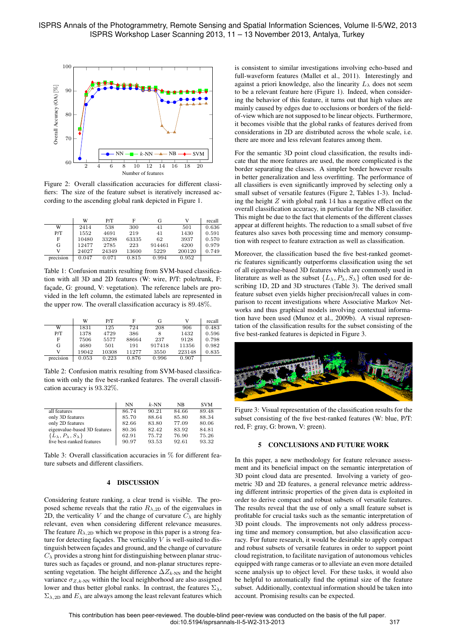

Figure 2: Overall classification accuracies for different classifiers: The size of the feature subset is iteratively increased according to the ascending global rank depicted in Figure 1.

|           | W     | P/T   | F     | G      | v      | recall |
|-----------|-------|-------|-------|--------|--------|--------|
| W         | 2414  | 538   | 300   | 41     | 501    | 0.636  |
| P/T       | 1552  | 4691  | 219   | 41     | 1430   | 0.591  |
| F         | 10480 | 33298 | 63335 | 62     | 3937   | 0.570  |
| G         | 12477 | 2785  | 223   | 914461 | 4200   | 0.979  |
| v         | 24027 | 24349 | 13600 | 5229   | 200120 | 0.749  |
| precision | 0.047 | 0.071 | 0.815 | 0.994  | 0.952  |        |

Table 1: Confusion matrix resulting from SVM-based classification with all 3D and 2D features (W: wire, P/T: pole/trunk, F: façade, G: ground, V: vegetation). The reference labels are provided in the left column, the estimated labels are represented in the upper row. The overall classification accuracy is 89.48%.

|           | W     | P/T   | F     | G      | v      | recall |
|-----------|-------|-------|-------|--------|--------|--------|
| W         | 1831  | 125   | 724   | 208    | 906    | 0.483  |
| P/T       | 1378  | 4729  | 386   | 8      | 1432   | 0.596  |
| F         | 7506  | 5577  | 88664 | 237    | 9128   | 0.798  |
| G         | 4680  | 501   | 191   | 917418 | 11356  | 0.982  |
| v         | 19042 | 10308 | 11277 | 3550   | 223148 | 0.835  |
| precision | 0.053 | 0.223 | 0.876 | 0.996  | 0.907  |        |

Table 2: Confusion matrix resulting from SVM-based classification with only the five best-ranked features. The overall classification accuracy is 93.32%.

|                                              | NN    | $k$ -NN | NB    | <b>SVM</b> |
|----------------------------------------------|-------|---------|-------|------------|
| all features                                 | 86.74 | 90.21   | 84.66 | 89.48      |
| only 3D features                             | 85.70 | 88.64   | 85.80 | 88.34      |
| only 2D features                             | 82.66 | 83.80   | 77.09 | 80.06      |
| eigenvalue-based 3D features                 | 80.36 | 82.42   | 83.92 | 84.81      |
| $\{L_{\lambda}, P_{\lambda}, S_{\lambda}\}\$ | 62.91 | 75.72   | 76.90 | 75.26      |
| five best-ranked features                    | 90.97 | 93.53   | 92.61 | 93.32      |

Table 3: Overall classification accuracies in % for different feature subsets and different classifiers.

# 4 DISCUSSION

Considering feature ranking, a clear trend is visible. The proposed scheme reveals that the ratio  $R_{\lambda,2D}$  of the eigenvalues in 2D, the verticality V and the change of curvature  $C_{\lambda}$  are highly relevant, even when considering different relevance measures. The feature  $R_{\lambda,2D}$  which we propose in this paper is a strong feature for detecting facades. The verticality  $V$  is well-suited to distinguish between façades and ground, and the change of curvature  $C_{\lambda}$  provides a strong hint for distinguishing between planar structures such as façades or ground, and non-planar structures representing vegetation. The height difference  $\Delta Z_{k-NN}$  and the height variance  $\sigma_{Z,k\text{-NN}}$  within the local neighborhood are also assigned lower and thus better global ranks. In contrast, the features  $\Sigma_{\lambda}$ ,  $\Sigma_{\lambda,2D}$  and  $E_{\lambda}$  are always among the least relevant features which is consistent to similar investigations involving echo-based and full-waveform features (Mallet et al., 2011). Interestingly and against a priori knowledge, also the linearity  $L_{\lambda}$  does not seem to be a relevant feature here (Figure 1). Indeed, when considering the behavior of this feature, it turns out that high values are mainly caused by edges due to occlusions or borders of the fieldof-view which are not supposed to be linear objects. Furthermore, it becomes visible that the global ranks of features derived from considerations in 2D are distributed across the whole scale, i.e. there are more and less relevant features among them.

For the semantic 3D point cloud classification, the results indicate that the more features are used, the more complicated is the border separating the classes. A simpler border however results in better generalization and less overfitting. The performance of all classifiers is even significantly improved by selecting only a small subset of versatile features (Figure 2, Tables 1-3). Including the height  $Z$  with global rank 14 has a negative effect on the overall classification accuracy, in particular for the NB classifier. This might be due to the fact that elements of the different classes appear at different heights. The reduction to a small subset of five features also saves both processing time and memory consumption with respect to feature extraction as well as classification.

Moreover, the classification based the five best-ranked geometric features significantly outperforms classification using the set of all eigenvalue-based 3D features which are commonly used in literature as well as the subset  $\{L_{\lambda}, P_{\lambda}, S_{\lambda}\}\$  often used for describing 1D, 2D and 3D structures (Table 3). The derived small feature subset even yields higher precision/recall values in comparison to recent investigations where Associative Markov Networks and thus graphical models involving contextual information have been used (Munoz et al., 2009b). A visual representation of the classification results for the subset consisting of the five best-ranked features is depicted in Figure 3.



Figure 3: Visual representation of the classification results for the subset consisting of the five best-ranked features (W: blue, P/T: red, F: gray, G: brown, V: green).

#### 5 CONCLUSIONS AND FUTURE WORK

In this paper, a new methodology for feature relevance assessment and its beneficial impact on the semantic interpretation of 3D point cloud data are presented. Involving a variety of geometric 3D and 2D features, a general relevance metric addressing different intrinsic properties of the given data is exploited in order to derive compact and robust subsets of versatile features. The results reveal that the use of only a small feature subset is profitable for crucial tasks such as the semantic interpretation of 3D point clouds. The improvements not only address processing time and memory consumption, but also classification accuracy. For future research, it would be desirable to apply compact and robust subsets of versatile features in order to support point cloud registration, to facilitate navigation of autonomous vehicles equipped with range cameras or to alleviate an even more detailed scene analysis up to object level. For these tasks, it would also be helpful to automatically find the optimal size of the feature subset. Additionally, contextual information should be taken into account. Promising results can be expected.